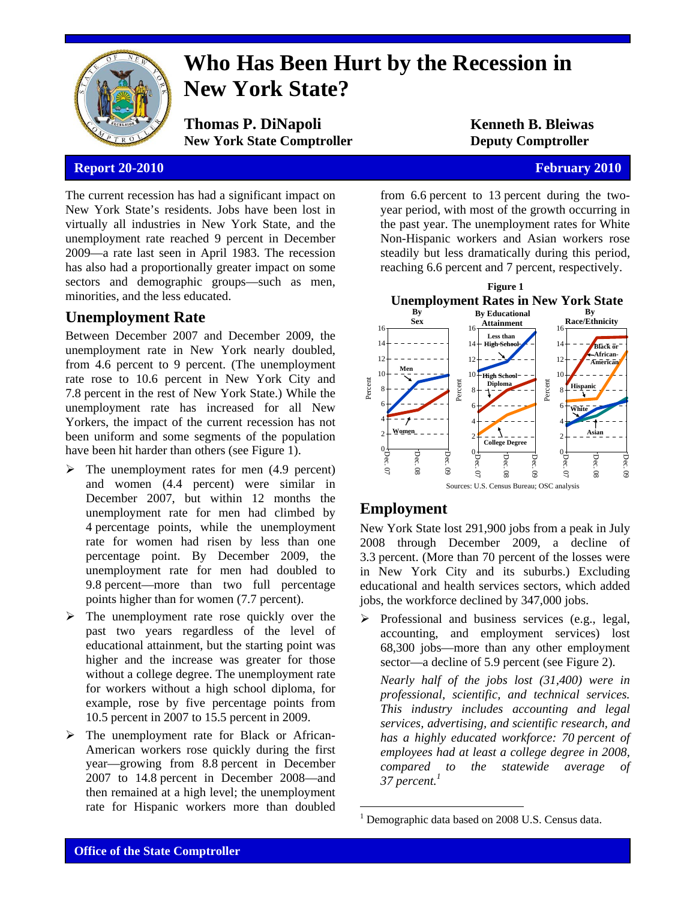

# **Who Has Been Hurt by the Recession in New York State?**

**Thomas P. DiNapoli Kenneth B. Bleiwas New York State Comptroller Deputy Comptroller** 

### **Report 20-2010 February 2010 February 2010**

The current recession has had a significant impact on New York State's residents. Jobs have been lost in virtually all industries in New York State, and the unemployment rate reached 9 percent in December 2009—a rate last seen in April 1983. The recession has also had a proportionally greater impact on some sectors and demographic groups—such as men, minorities, and the less educated.

## **Unemployment Rate**

Between December 2007 and December 2009, the unemployment rate in New York nearly doubled, from 4.6 percent to 9 percent. (The unemployment rate rose to 10.6 percent in New York City and 7.8 percent in the rest of New York State.) While the unemployment rate has increased for all New Yorkers, the impact of the current recession has not been uniform and some segments of the population have been hit harder than others (see Figure 1).

- $\triangleright$  The unemployment rates for men (4.9 percent) and women (4.4 percent) were similar in December 2007, but within 12 months the unemployment rate for men had climbed by 4 percentage points, while the unemployment rate for women had risen by less than one percentage point. By December 2009, the unemployment rate for men had doubled to 9.8 percent—more than two full percentage points higher than for women (7.7 percent).
- $\triangleright$  The unemployment rate rose quickly over the past two years regardless of the level of educational attainment, but the starting point was higher and the increase was greater for those without a college degree. The unemployment rate for workers without a high school diploma, for example, rose by five percentage points from 10.5 percent in 2007 to 15.5 percent in 2009.
- $\triangleright$  The unemployment rate for Black or African-American workers rose quickly during the first year—growing from 8.8 percent in December 2007 to 14.8 percent in December 2008—and then remained at a high level; the unemployment rate for Hispanic workers more than doubled

from 6.6 percent to 13 percent during the twoyear period, with most of the growth occurring in the past year. The unemployment rates for White Non-Hispanic workers and Asian workers rose steadily but less dramatically during this period, reaching 6.6 percent and 7 percent, respectively.



## **Employment**

 $\overline{a}$ 

New York State lost 291,900 jobs from a peak in July 2008 through December 2009, a decline of 3.3 percent. (More than 70 percent of the losses were in New York City and its suburbs.) Excluding educational and health services sectors, which added jobs, the workforce declined by 347,000 jobs.

 $\triangleright$  Professional and business services (e.g., legal, accounting, and employment services) lost 68,300 jobs—more than any other employment sector—a decline of 5.9 percent (see Figure 2).

*Nearly half of the jobs lost (31,400) were in professional, scientific, and technical services. This industry includes accounting and legal services, advertising, and scientific research, and has a highly educated workforce: 70 percent of employees had at least a college degree in 2008, compared to the statewide average of 37 percent.1*

<sup>&</sup>lt;sup>1</sup> Demographic data based on 2008 U.S. Census data.